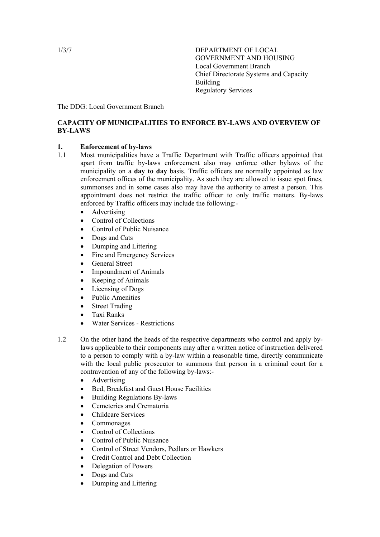1/3/7 DEPARTMENT OF LOCAL GOVERNMENT AND HOUSING Local Government Branch Chief Directorate Systems and Capacity Building Regulatory Services

The DDG: Local Government Branch

# **CAPACITY OF MUNICIPALITIES TO ENFORCE BY-LAWS AND OVERVIEW OF BY-LAWS**

### **1. Enforcement of by-laws**

- 1.1 Most municipalities have a Traffic Department with Traffic officers appointed that apart from traffic by-laws enforcement also may enforce other bylaws of the municipality on a **day to day** basis. Traffic officers are normally appointed as law enforcement offices of the municipality. As such they are allowed to issue spot fines, summonses and in some cases also may have the authority to arrest a person. This appointment does not restrict the traffic officer to only traffic matters. By-laws enforced by Traffic officers may include the following:-
	- Advertising
	- Control of Collections
	- Control of Public Nuisance
	- Dogs and Cats
	- Dumping and Littering
	- Fire and Emergency Services
	- General Street
	- Impoundment of Animals
	- Keeping of Animals
	- Licensing of Dogs
	- Public Amenities
	- **Street Trading**
	- Taxi Ranks
	- Water Services Restrictions
- 1.2 On the other hand the heads of the respective departments who control and apply bylaws applicable to their components may after a written notice of instruction delivered to a person to comply with a by-law within a reasonable time, directly communicate with the local public prosecutor to summons that person in a criminal court for a contravention of any of the following by-laws:-
	- Advertising
	- Bed, Breakfast and Guest House Facilities
	- Building Regulations By-laws
	- Cemeteries and Crematoria
	- Childcare Services
	- Commonages
	- Control of Collections
	- Control of Public Nuisance
	- Control of Street Vendors, Pedlars or Hawkers
	- Credit Control and Debt Collection
	- Delegation of Powers
	- Dogs and Cats
	- Dumping and Littering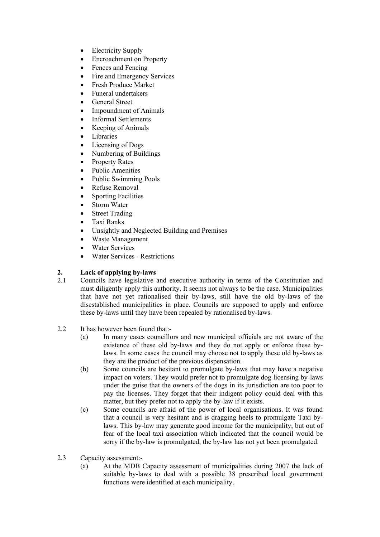- Electricity Supply
- Encroachment on Property
- Fences and Fencing
- Fire and Emergency Services
- Fresh Produce Market
- Funeral undertakers
- General Street
- Impoundment of Animals
- Informal Settlements
- Keeping of Animals
- Libraries
- Licensing of Dogs
- Numbering of Buildings
- Property Rates
- Public Amenities
- Public Swimming Pools
- Refuse Removal
- Sporting Facilities
- Storm Water
- Street Trading
- Taxi Ranks
- Unsightly and Neglected Building and Premises
- Waste Management
- Water Services
- Water Services Restrictions

# **2. Lack of applying by-laws**

- 2.1 Councils have legislative and executive authority in terms of the Constitution and must diligently apply this authority. It seems not always to be the case. Municipalities that have not yet rationalised their by-laws, still have the old by-laws of the disestablished municipalities in place. Councils are supposed to apply and enforce these by-laws until they have been repealed by rationalised by-laws.
- 2.2 It has however been found that:-
	- (a) In many cases councillors and new municipal officials are not aware of the existence of these old by-laws and they do not apply or enforce these bylaws. In some cases the council may choose not to apply these old by-laws as they are the product of the previous dispensation.
	- (b) Some councils are hesitant to promulgate by-laws that may have a negative impact on voters. They would prefer not to promulgate dog licensing by-laws under the guise that the owners of the dogs in its jurisdiction are too poor to pay the licenses. They forget that their indigent policy could deal with this matter, but they prefer not to apply the by-law if it exists.
	- (c) Some councils are afraid of the power of local organisations. It was found that a council is very hesitant and is dragging heels to promulgate Taxi bylaws. This by-law may generate good income for the municipality, but out of fear of the local taxi association which indicated that the council would be sorry if the by-law is promulgated, the by-law has not yet been promulgated.
- 2.3 Capacity assessment:-
	- (a) At the MDB Capacity assessment of municipalities during 2007 the lack of suitable by-laws to deal with a possible 38 prescribed local government functions were identified at each municipality.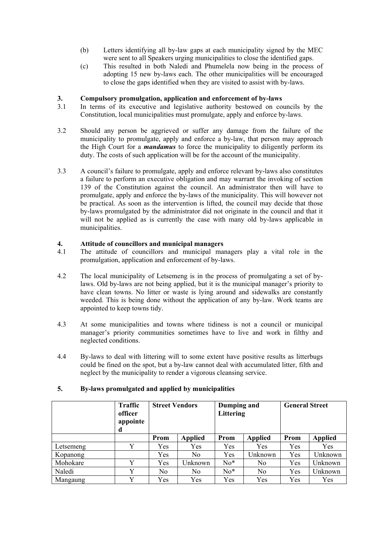- (b) Letters identifying all by-law gaps at each municipality signed by the MEC were sent to all Speakers urging municipalities to close the identified gaps.
- (c) This resulted in both Naledi and Phumelela now being in the process of adopting 15 new by-laws each. The other municipalities will be encouraged to close the gaps identified when they are visited to assist with by-laws.

### **3. Compulsory promulgation, application and enforcement of by-laws**

- 3.1 In terms of its executive and legislative authority bestowed on councils by the Constitution, local municipalities must promulgate, apply and enforce by-laws.
- 3.2 Should any person be aggrieved or suffer any damage from the failure of the municipality to promulgate, apply and enforce a by-law, that person may approach the High Court for a *mandamus* to force the municipality to diligently perform its duty. The costs of such application will be for the account of the municipality.
- 3.3 A council's failure to promulgate, apply and enforce relevant by-laws also constitutes a failure to perform an executive obligation and may warrant the invoking of section 139 of the Constitution against the council. An administrator then will have to promulgate, apply and enforce the by-laws of the municipality. This will however not be practical. As soon as the intervention is lifted, the council may decide that those by-laws promulgated by the administrator did not originate in the council and that it will not be applied as is currently the case with many old by-laws applicable in municipalities.

### **4. Attitude of councillors and municipal managers**

- 4.1 The attitude of councillors and municipal managers play a vital role in the promulgation, application and enforcement of by-laws.
- 4.2 The local municipality of Letsemeng is in the process of promulgating a set of bylaws. Old by-laws are not being applied, but it is the municipal manager's priority to have clean towns. No litter or waste is lying around and sidewalks are constantly weeded. This is being done without the application of any by-law. Work teams are appointed to keep towns tidy.
- 4.3 At some municipalities and towns where tidiness is not a council or municipal manager's priority communities sometimes have to live and work in filthy and neglected conditions.
- 4.4 By-laws to deal with littering will to some extent have positive results as litterbugs could be fined on the spot, but a by-law cannot deal with accumulated litter, filth and neglect by the municipality to render a vigorous cleansing service.

|           | <b>Traffic</b><br>officer<br>appointe<br>d | <b>Street Vendors</b> |                | Dumping and<br>Littering |                | <b>General Street</b> |                |
|-----------|--------------------------------------------|-----------------------|----------------|--------------------------|----------------|-----------------------|----------------|
|           |                                            | Prom                  | <b>Applied</b> | Prom                     | <b>Applied</b> | Prom                  | <b>Applied</b> |
| Letsemeng | Y                                          | Yes                   | Yes            | Yes                      | Yes            | Yes                   | Yes            |
| Kopanong  |                                            | Yes                   | N <sub>0</sub> | Yes                      | Unknown        | Yes                   | Unknown        |
| Mohokare  | Y                                          | Yes                   | Unknown        | $No*$                    | No.            | Yes                   | Unknown        |
| Naledi    | v                                          | N <sub>0</sub>        | N <sub>0</sub> | $No*$                    | N <sub>0</sub> | Yes                   | Unknown        |
| Mangaung  | v                                          | Yes                   | Yes            | Yes                      | Yes            | Yes                   | Yes            |

#### **5. By-laws promulgated and applied by municipalities**